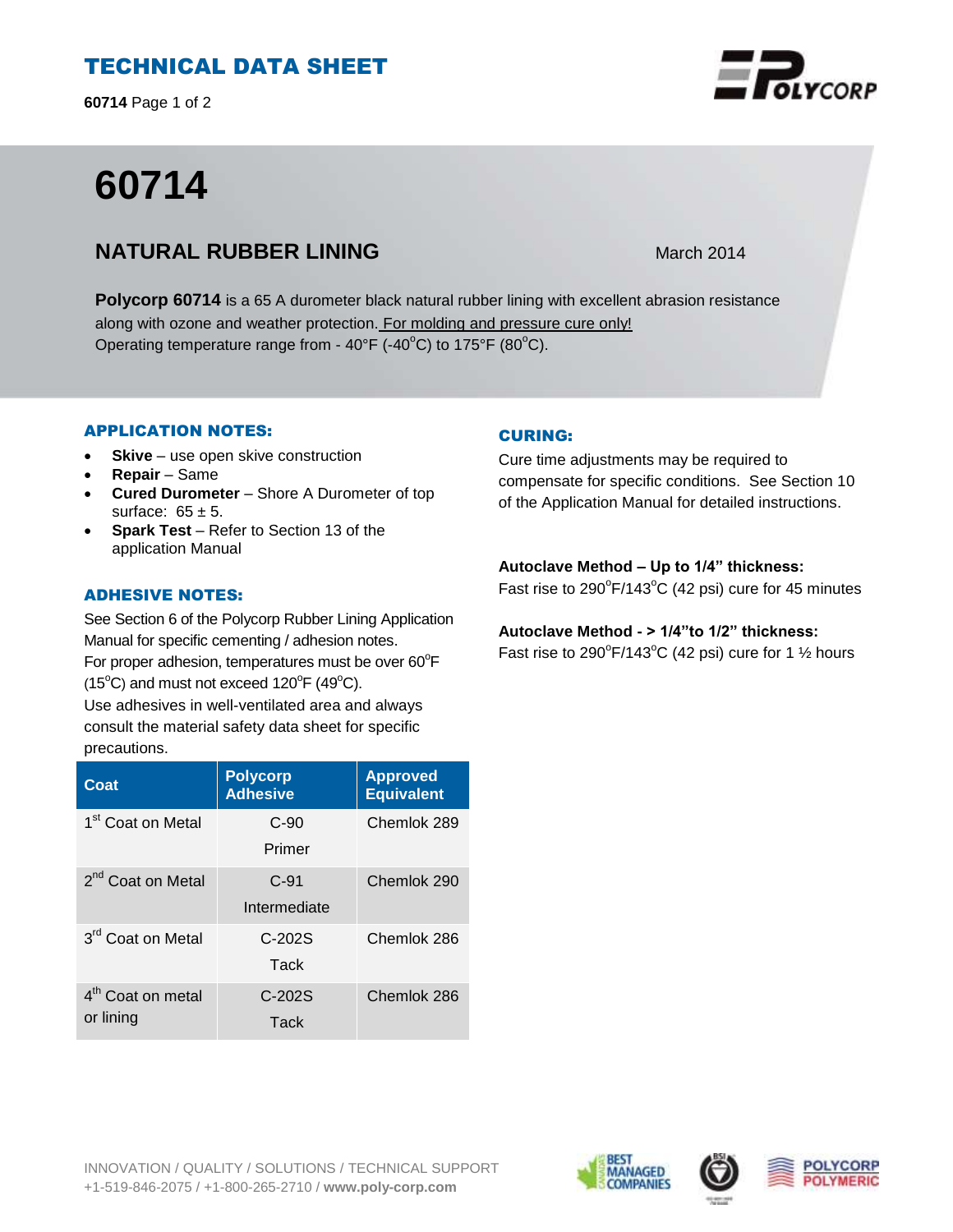# TECHNICAL DATA SHEET

**60714** Page 1 of 2

# **60714**

# **NATURAL RUBBER LINING** March 2014

**Polycorp 60714** is a 65 A durometer black natural rubber lining with excellent abrasion resistance along with ozone and weather protection. For molding and pressure cure only! Operating temperature range from -  $40^{\circ}$ F (- $40^{\circ}$ C) to 175°F (80 $^{\circ}$ C).

### APPLICATION NOTES:

- **Skive** use open skive construction
- **Repair**  Same
- **Cured Durometer**  Shore A Durometer of top surface:  $65 \pm 5$ .
- **Spark Test** Refer to Section 13 of the application Manual

## ADHESIVE NOTES:

See Section 6 of the Polycorp Rubber Lining Application Manual for specific cementing / adhesion notes. For proper adhesion, temperatures must be over  $60^{\circ}$ F  $(15^{\circ}C)$  and must not exceed  $120^{\circ}F(49^{\circ}C)$ .

Use adhesives in well-ventilated area and always consult the material safety data sheet for specific precautions.

| Coat                                       | <b>Polycorp</b><br><b>Adhesive</b> | <b>Approved</b><br><b>Equivalent</b> |
|--------------------------------------------|------------------------------------|--------------------------------------|
| 1 <sup>st</sup> Coat on Metal              | $C-90$<br>Primer                   | Chemlok 289                          |
| 2 <sup>nd</sup> Coat on Metal              | $C-91$<br>Intermediate             | Chemlok 290                          |
| 3 <sup>rd</sup> Coat on Metal              | $C-202S$<br>Tack                   | Chemlok 286                          |
| 4 <sup>th</sup> Coat on metal<br>or lining | $C-202S$<br>Tack                   | Chemlok 286                          |

### CURING:

Cure time adjustments may be required to compensate for specific conditions. See Section 10 of the Application Manual for detailed instructions.

### **Autoclave Method – Up to 1/4" thickness:**

Fast rise to  $290^{\circ}$ F/143 $^{\circ}$ C (42 psi) cure for 45 minutes

### **Autoclave Method - > 1/4"to 1/2" thickness:**

Fast rise to 290 $\mathrm{^oF}/143\mathrm{^oC}$  (42 psi) cure for 1  $\frac{1}{2}$  hours